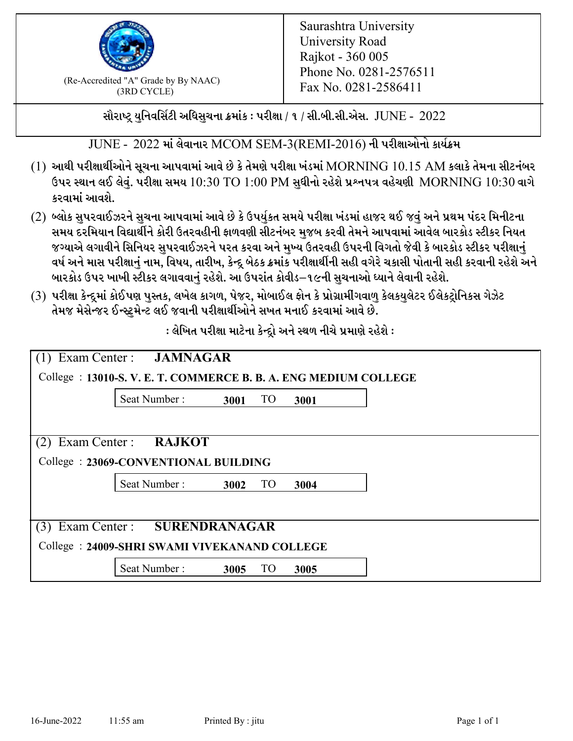

(Re-Accredited "A" Grade by By NAAC)<br>  $Fax No. 0281-2586411$ (3RD CYCLE)

સૌરાષ્ટ્ર યુનિવર્સિટી અધિસુચના ક્રમાંક : પરીક્ષા / ૧ / સી.બી.સી.એસ.  $\,$  JUNE -  $\,2022$ 

 $JUNE - 2022$  માં લેવાનાર MCOM SEM-3(REMI-2016) ની પરીક્ષાઓનો કાર્યક્રમ

- $(1)$  આથી પરીક્ષાર્થીઓને સૂચના આપવામાં આવે છે કે તેમણે પરીક્ષા ખંડમાં  $\operatorname{MORNING}$   $10.15$   $\operatorname{AM}$  કલાકે તેમના સીટનંબર ઉપર સ્થાન લઈ લેવું. પરીક્ષા સમય  $10:30 \text{ TO } 1:00 \text{ PM}$  સુધીનો રહેશે પ્રશ્નપત્ર વહેચણી  $\text{MORNING } 10:30$  વાગે કરવામાં આવશે.
- (2) બ્લોક સુપરવાઈઝરને સુચના આપવામાં આવે છે કે ઉપર્યુકત સમયે પરીક્ષા ખંડમાં હાજર થઈ જવું અને પ્રથમ પંદર મિનીટના સમય દરમિયાન વિદ્યાર્થીને કોરી ઉતરવહીની ફાળવણી સીટનંબર મજબ કરવી તેમને આપવામાં આવેલ બારકોડ સ્ટીકર નિયત જગ્યાએ લગાવીને સિનિયર સુપરવાઈઝરને પરત કરવા અને મુખ્ય ઉતરવહી ઉપરની વિગતો જેવી કે બારકોડ સ્ટીકર પરીક્ષ<u>ાન</u>ં વર્ષ અને માસ પરીક્ષાનું નામ, વિષય, તારીખ, કેન્દ્ર બેઠક ક્રમાંક પરીક્ષાર્થીની સહી વગેરે ચકાસી પોતાની સહી કરવાની રહેશે અને બારકોડ ઉપર ખાખી સ્ટીકર લગાવવાનં રહેશે. આ ઉપરાંત કોવીડ–૧૯ની સચનાઓ ધ્યાને લેવાની રહેશે.
- (3) પરીક્ષા કેન્દ્રમાં કોઈપણ પુસ્તક, લખેલ કાગળ, પેજર, મોબાઈલ ફોન કે પ્રોગ્રામીંગવાળુ કેલકયુલેટર ઈલેકટ્રોનિકસ ગેઝેટ તેમજ મેસેન્જર ઈન્સ્ટમેન્ટ લઈ જવાની પરીક્ષાર્થીઓને સખત મનાઈ કરવામાં આવે છે.

 $:$ લેખિત પરીક્ષા માટેના કેન્દ્રો અને સ્થળ નીચે પ્રમાણે રહેશે  $:$ 

|                                                                 | (1) Exam Center : <b>JAMNAGAR</b> |      |           |      |  |  |  |
|-----------------------------------------------------------------|-----------------------------------|------|-----------|------|--|--|--|
| College : 13010-S.V. E. T. COMMERCE B. B. A. ENG MEDIUM COLLEGE |                                   |      |           |      |  |  |  |
|                                                                 | Seat Number:                      | 3001 | <b>TO</b> | 3001 |  |  |  |
|                                                                 |                                   |      |           |      |  |  |  |
| $(2)$ Exam Center :                                             | <b>RAJKOT</b>                     |      |           |      |  |  |  |
| College: 23069-CONVENTIONAL BUILDING                            |                                   |      |           |      |  |  |  |
|                                                                 | Seat Number:                      | 3002 | <b>TO</b> | 3004 |  |  |  |
|                                                                 |                                   |      |           |      |  |  |  |
| (3) Exam Center : SURENDRANAGAR                                 |                                   |      |           |      |  |  |  |
| College: 24009-SHRI SWAMI VIVEKANAND COLLEGE                    |                                   |      |           |      |  |  |  |
|                                                                 | Seat Number:                      | 3005 | TO        | 3005 |  |  |  |